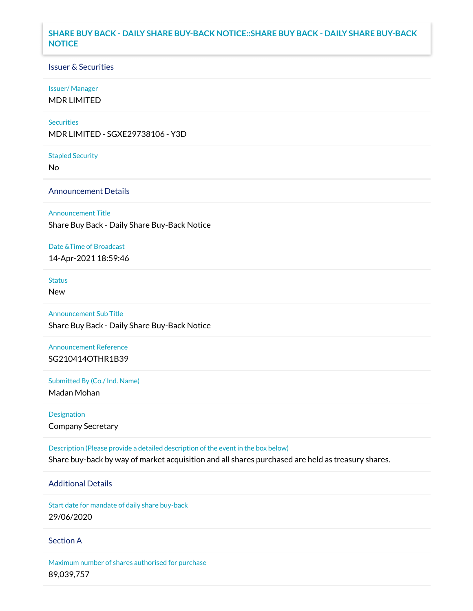## **SHARE BUY BACK - DAILY SHARE BUY-BACK NOTICE::SHARE BUY BACK - DAILY SHARE BUY-BACK NOTICE**

### Issuer & Securities

#### Issuer/ Manager

MDR LIMITED

#### **Securities**

MDR LIMITED - SGXE29738106 - Y3D

#### Stapled Security

No

### Announcement Details

#### Announcement Title

Share Buy Back - Daily Share Buy-Back Notice

#### Date &Time of Broadcast

14-Apr-2021 18:59:46

# **Status**

New

# Announcement Sub Title

Share Buy Back - Daily Share Buy-Back Notice

### Announcement Reference SG210414OTHR1B39

Submitted By (Co./ Ind. Name)

Madan Mohan

## Designation Company Secretary

Description (Please provide a detailed description of the event in the box below) Share buy-back by way of market acquisition and all shares purchased are held as treasury shares.

# Additional Details

Start date for mandate of daily share buy-back 29/06/2020

### Section A

Maximum number of shares authorised for purchase 89,039,757